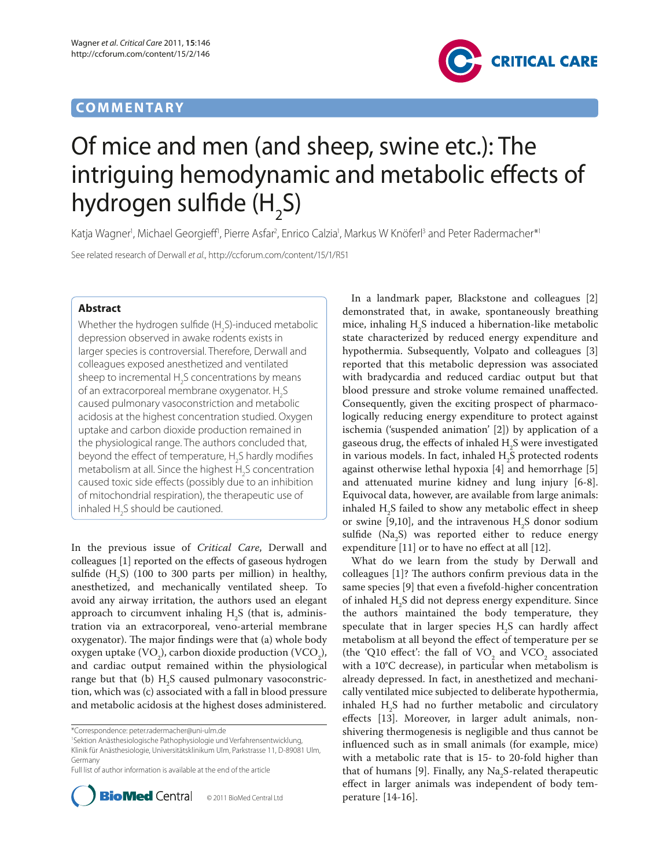## **COMMENTARY**



# Of mice and men (and sheep, swine etc.): The intriguing hemodynamic and metabolic effects of hydrogen sulfide (H<sub>2</sub>S)

Katja Wagner<sup>1</sup>, Michael Georgieff<sup>i</sup>, Pierre Asfar<sup>2</sup>, Enrico Calzia<sup>1</sup>, Markus W Knöferl<sup>3</sup> and Peter Radermacher\*<sup>1</sup>

See related research of Derwall et al., http://ccforum.com/content/15/1/R51

### **Abstract**

Whether the hydrogen sulfide (H<sub>2</sub>S)-induced metabolic depression observed in awake rodents exists in larger species is controversial. Therefore, Derwall and colleagues exposed anesthetized and ventilated sheep to incremental  $H_2$ S concentrations by means of an extracorporeal membrane oxygenator.  $H_2S$ caused pulmonary vasoconstriction and metabolic acidosis at the highest concentration studied. Oxygen uptake and carbon dioxide production remained in the physiological range. The authors concluded that, beyond the effect of temperature,  $H_2S$  hardly modifies metabolism at all. Since the highest  $H_2$ S concentration caused toxic side effects (possibly due to an inhibition of mitochondrial respiration), the therapeutic use of inhaled  $H_2$ S should be cautioned.

In the previous issue of *Critical Care*, Derwall and colleagues [1] reported on the effects of gaseous hydrogen sulfide  $(H_2S)$  (100 to 300 parts per million) in healthy, anesthetized, and mechanically ventilated sheep. To avoid any airway irritation, the authors used an elegant approach to circumvent inhaling  $H_2S$  (that is, administration via an extracorporeal, veno-arterial membrane oxygenator). The major findings were that (a) whole body oxygen uptake (VO<sub>2</sub>), carbon dioxide production (VCO<sub>2</sub>), and cardiac output remained within the physiological range but that (b)  $\mathrm{H}_2\mathrm{S}$  caused pulmonary vasoconstriction, which was (c) associated with a fall in blood pressure and metabolic acidosis at the highest doses administered.

Full list of author information is available at the end of the article



© 2011 BioMed Central Ltd

In a landmark paper, Blackstone and colleagues [2] demonstrated that, in awake, spontaneously breathing mice, inhaling  $H_2S$  induced a hibernation-like metabolic state characterized by reduced energy expenditure and hypothermia. Subsequently, Volpato and colleagues [3] reported that this metabolic depression was associated with bradycardia and reduced cardiac output but that blood pressure and stroke volume remained unaffected. Consequently, given the exciting prospect of pharmacologically reducing energy expenditure to protect against ischemia ('suspended animation' [2]) by application of a gaseous drug, the effects of inhaled  $\mathrm{H}_2\mathrm{S}$  were investigated in various models. In fact, inhaled  $\rm H_2^{\phantom i}$ S protected rodents against other wise lethal hypoxia [4] and hemorrhage [5] and attenuated murine kidney and lung injury [6-8]. Equivocal data, however, are available from large animals: inhaled  $H_2S$  failed to show any metabolic effect in sheep or swine [9,10], and the intravenous  $H_2S$  donor sodium sulfide  $(Na<sub>2</sub>S)$  was reported either to reduce energy expenditure  $[11]$  or to have no effect at all  $[12]$ .

What do we learn from the study by Derwall and colleagues  $[1]$ ? The authors confirm previous data in the same species [9] that even a fivefold-higher concentration of inhaled H<sub>2</sub>S did not depress energy expenditure. Since the authors maintained the body temperature, they speculate that in larger species  $H_2S$  can hardly affect metabolism at all beyond the effect of temperature per se (the 'Q10 effect': the fall of  $VO_2$  and  $VCO_2$  associated with a 10°C decrease), in particular when metabolism is already depressed. In fact, in anesthetized and mechanically ventilated mice subjected to deliberate hypothermia, inhaled  $H_2S$  had no further metabolic and circulatory effects [13]. Moreover, in larger adult animals, nonshivering thermogenesis is negligible and thus cannot be influenced such as in small animals (for example, mice) with a metabolic rate that is 15- to 20-fold higher than that of humans [9]. Finally, any  $\text{Na}_2\text{S}\text{-related therapeutic}$ effect in larger animals was independent of body temperature  $[14-16]$ .

<sup>\*</sup>Correspondence: peter.radermacher@uni-ulm.de

<sup>1</sup> Sektion Anästhesiologische Pathophysiologie und Verfahrensentwicklung, Klinik für Anästhesiologie, Universitätsklinikum Ulm, Parkstrasse 11, D-89081 Ulm, Germany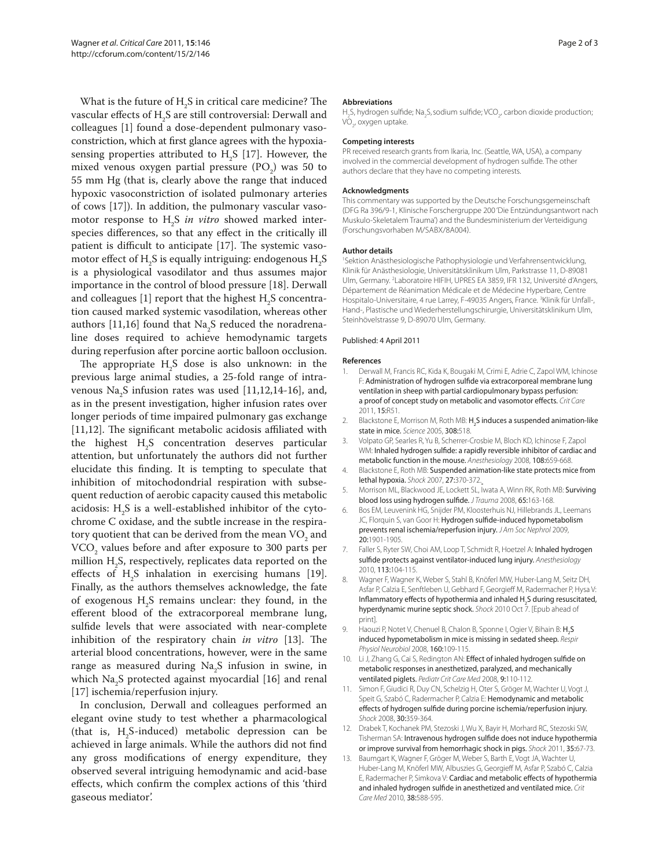What is the future of  $H_2S$  in critical care medicine? The vascular effects of  $\mathrm{H}_2\mathrm{S}$  are still controversial: Derwall and colleagues [1] found a dose-dependent pulmonary vasoconstriction, which at first glance agrees with the hypoxiasensing properties attributed to  $H_2S$  [17]. However, the mixed venous oxygen partial pressure  $(PO<sub>2</sub>)$  was 50 to 55 mm Hg (that is, clearly above the range that induced hypoxic vasoconstriction of isolated pulmonary arteries of cows [17]). In addition, the pulmonary vascular vasomotor response to H<sub>2</sub>S *in vitro* showed marked interspecies differences, so that any effect in the critically ill patient is difficult to anticipate [17]. The systemic vasomotor effect of  $\rm H_2S$  is equally intriguing: endogenous  $\rm H_2S$ is a physiological vasodilator and thus assumes major importance in the control of blood pressure [18]. Derwall and colleagues [1] report that the highest  $\rm H_2S$  concentration caused marked systemic vasodilation, whereas other authors [11,16] found that Na<sub>2</sub>S reduced the noradrenaline doses required to achieve hemodynamic targets during reperfusion after porcine aortic balloon occlusion.

The appropriate  $H_2S$  dose is also unknown: in the previous large animal studies, a 25-fold range of intravenous  $\mathrm{Na}_2\mathrm{S}$  infusion rates was used [11,12,14-16], and, as in the present investigation, higher infusion rates over longer periods of time impaired pulmonary gas exchange  $[11,12]$ . The significant metabolic acidosis affiliated with the highest  $H_{2}S$  concentration deserves particular attention, but unfortunately the authors did not further elucidate this finding. It is tempting to speculate that inhibition of mitochodondrial respiration with subsequent reduction of aerobic capacity caused this metabolic acidosis:  $H_2S$  is a well-established inhibitor of the cytochrome C oxidase, and the subtle increase in the respiratory quotient that can be derived from the mean  $\rm VO_{_2}$  and  $\rm VCO_{_2}$  values before and after exposure to 300 parts per million  $H_2$ S, respectively, replicates data reported on the effects of  $H_2S$  inhalation in exercising humans [19]. Finally, as the authors themselves acknowledge, the fate of exogenous H<sub>2</sub>S remains unclear: they found, in the efferent blood of the extracorporeal membrane lung, sulfide levels that were associated with near-complete inhibition of the respiratory chain *in vitro* [13]. The arterial blood concentrations, however, were in the same range as measured during  $\text{Na}_2\text{S}$  infusion in swine, in which  $\rm Na_{2}S$  protected against myocardial [16] and renal [17] ischemia/reperfusion injury.

In conclusion, Derwall and colleagues performed an elegant ovine study to test whether a pharmacological (that is,  $H_2S$ -induced) metabolic depression can be achieved in large animals. While the authors did not find any gross modifications of energy expenditure, they observed several intriguing hemodynamic and acid-base effects, which confirm the complex actions of this 'third gaseous mediator'.

#### **Abbreviations**

H<sub>2</sub>S, hydrogen sulfide; Na<sub>2</sub>S, sodium sulfide; VCO<sub>2</sub>, carbon dioxide production; VO<sub>2</sub>, oxygen uptake.

#### **Competing interests**

PR received research grants from Ikaria, Inc. (Seattle, WA, USA), a company involved in the commercial development of hydrogen sulfide. The other authors declare that they have no competing interests.

#### **Acknowledgments**

This commentary was supported by the Deutsche Forschungsgemeinschaft (DFG Ra 396/9-1, Klinische Forschergruppe 200 'Die Entzündungsantwort nach Muskulo-Skeletalem Trauma') and the Bundesministerium der Verteidigung (Forschungsvorhaben M/SABX/8A004).

#### **Author details**

1 Sektion Anästhesiologische Pathophysiologie und Verfahrensentwicklung, Klinik für Anästhesiologie, Universitätsklinikum Ulm, Parkstrasse 11, D-89081 Ulm, Germany. 2 Laboratoire HIFIH, UPRES EA 3859, IFR 132, Université d'Angers, Département de Réanimation Médicale et de Médecine Hyperbare, Centre Hospitalo-Universitaire, 4 rue Larrey, F-49035 Angers, France. <sup>3</sup>Klinik für Unfall-, Hand-, Plastische und Wiederherstellungschirurgie, Universitätsklinikum Ulm, Steinhövelstrasse 9, D-89070 Ulm, Germany.

#### Published: 4 April 2011

#### **References**

- 1. Derwall M, Francis RC, Kida K, Bougaki M, Crimi E, Adrie C, Zapol WM, Ichinose F: Administration of hydrogen sulfide via extracorporeal membrane lung ventilation in sheep with partial cardiopulmonary bypass perfusion: a proof of concept study on metabolic and vasomotor effects. Crit Care 2011, 15:R51.
- 2. Blackstone E, Morrison M, Roth MB: H<sub>2</sub>S induces a suspended animation-like state in mice. Science 2005, 308:518.
- 3. Volpato GP, Searles R, Yu B, Scherrer-Crosbie M, Bloch KD, Ichinose F, Zapol WM: Inhaled hydrogen sulfide: a rapidly reversible inhibitor of cardiac and metabolic function in the mouse. Anesthesiology 2008, 108:659-668.
- 4. Blackstone E, Roth MB: Suspended animation-like state protects mice from lethal hypoxia. Shock 2007, 27:370-372.
- 5. Morrison ML, Blackwood JE, Lockett SL, Iwata A, Winn RK, Roth MB: Surviving blood loss using hydrogen sulfide. J Trauma 2008, 65:163-168.
- 6. Bos EM, Leuvenink HG, Snijder PM, Kloosterhuis NJ, Hillebrands JL, Leemans JC, Florquin S, van Goor H: Hydrogen sulfide-induced hypometabolism prevents renal ischemia/reperfusion injury. J Am Soc Nephrol 2009, 20:1901-1905.
- 7. Faller S, Ryter SW, Choi AM, Loop T, Schmidt R, Hoetzel A: Inhaled hydrogen sulfide protects against ventilator-induced lung injury. Anesthesiology 2010, 113:104-115.
- 8. Wagner F, Wagner K, Weber S, Stahl B, Knöferl MW, Huber-Lang M, Seitz DH, Asfar P, Calzia E, Senftleben U, Gebhard F, Georgieff M, Radermacher P, Hysa V: Inflammatory effects of hypothermia and inhaled  $H_2S$  during resuscitated, hyperdynamic murine septic shock. Shock 2010 Oct 7. [Epub ahead of print].
- 9. Haouzi P, Notet V, Chenuel B, Chalon B, Sponne I, Ogier V, Bihain B: H<sub>2</sub>S induced hypometabolism in mice is missing in sedated sheep. Respir Physiol Neurobiol 2008, 160:109-115.
- 10. Li J, Zhang G, Cai S, Redington AN: Effect of inhaled hydrogen sulfide on metabolic responses in anesthetized, paralyzed, and mechanically ventilated piglets. Pediatr Crit Care Med 2008, 9:110-112.
- 11. Simon F, Giudici R, Duy CN, Schelzig H, Oter S, Gröger M, Wachter U, Vogt J, Speit G, Szabó C, Radermacher P, Calzia E: Hemodynamic and metabolic effects of hydrogen sulfide during porcine ischemia/reperfusion injury. Shock 2008, 30:359-364.
- 12. Drabek T, Kochanek PM, Stezoski J, Wu X, Bayir H, Morhard RC, Stezoski SW, Tisherman SA: Intravenous hydrogen sulfide does not induce hypothermia or improve survival from hemorrhagic shock in pigs. Shock 2011, 35:67-73.
- 13. Baumgart K, Wagner F, Gröger M, Weber S, Barth E, Vogt JA, Wachter U, Huber-Lang M, Knöferl MW, Albuszies G, Georgieff M, Asfar P, Szabó C, Calzia E, Radermacher P, Simkova V: Cardiac and metabolic effects of hypothermia and inhaled hydrogen sulfide in anesthetized and ventilated mice. Crit Care Med 2010, 38:588-595.